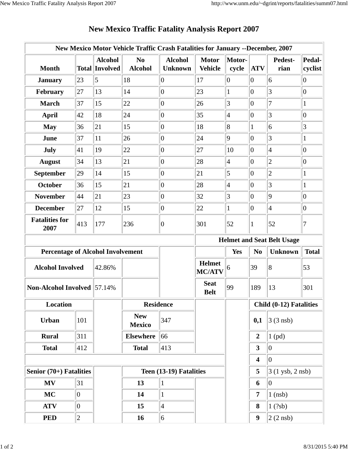|                                          |             |                                         | New Mexico Motor Vehicle Traffic Crash Fatalities for January --December, 2007 |                                  |                                |                 |                                                  |                      |                   |
|------------------------------------------|-------------|-----------------------------------------|--------------------------------------------------------------------------------|----------------------------------|--------------------------------|-----------------|--------------------------------------------------|----------------------|-------------------|
| <b>Month</b>                             |             | <b>Alcohol</b><br><b>Total Involved</b> | N <sub>0</sub><br><b>Alcohol</b>                                               | <b>Alcohol</b><br><b>Unknown</b> | <b>Motor</b><br><b>Vehicle</b> | Motor-<br>cycle | <b>ATV</b>                                       | Pedest-<br>rian      | Pedal-<br>cyclist |
| <b>January</b>                           | 23          | 5                                       | 18                                                                             | $ 0\rangle$                      | 17                             | $\overline{0}$  | $\overline{0}$                                   | 6                    | $\overline{0}$    |
| February                                 | 27          | 13                                      | 14                                                                             | $ 0\rangle$                      | 23                             | $\mathbf{1}$    | $ 0\rangle$                                      | $\overline{3}$       | $\overline{0}$    |
| <b>March</b>                             | 37          | 15                                      | 22                                                                             | $ 0\rangle$                      | 26                             | 3               | $\overline{0}$                                   | 7                    | $\mathbf{1}$      |
| <b>April</b>                             | 42          | 18                                      | 24                                                                             | $ 0\rangle$                      | 35                             | $\overline{4}$  | $\overline{0}$                                   | 3                    | $\boldsymbol{0}$  |
| <b>May</b>                               | 36          | 21                                      | 15                                                                             | $ 0\rangle$                      | 18                             | 8               | 1                                                | 6                    | 3                 |
| June                                     | 37          | 11                                      | 26                                                                             | $ 0\rangle$                      | 24                             | 9               | $\overline{0}$                                   | 3                    | $\mathbf{1}$      |
| July                                     | 41          | 19                                      | 22                                                                             | $ 0\rangle$                      | 27                             | 10              | $ 0\rangle$                                      | $\overline{4}$       | $\overline{0}$    |
| <b>August</b>                            | 34          | 13                                      | 21                                                                             | $ 0\rangle$                      | 28                             | 4               | $\overline{0}$                                   | $\overline{2}$       | $\overline{0}$    |
| <b>September</b>                         | 29          | 14                                      | 15                                                                             | $ 0\rangle$                      | 21                             | 5               | $ 0\rangle$                                      | $\overline{c}$       | $\mathbf{1}$      |
| <b>October</b>                           | 36          | 15                                      | 21                                                                             | $ 0\rangle$                      | 28                             | $\overline{4}$  | $\overline{0}$                                   | $\overline{3}$       | $\mathbf{1}$      |
| <b>November</b>                          | 44          | 21                                      | 23                                                                             | $ 0\rangle$                      | 32                             | 3               | $\overline{0}$                                   | 9                    | $\boldsymbol{0}$  |
| <b>December</b>                          | 27          | 12                                      | 15                                                                             | $ 0\rangle$                      | 22                             | 1               | $ 0\rangle$                                      | $\overline{4}$       | $\overline{0}$    |
| <b>Fatalities for</b><br>2007            | 413         | 177                                     | 236                                                                            | $ 0\rangle$                      | 301                            | 52              |                                                  | 52                   | 7                 |
|                                          |             |                                         | <b>Helmet and Seat Belt Usage</b>                                              |                                  |                                |                 |                                                  |                      |                   |
| <b>Percentage of Alcohol Involvement</b> |             |                                         |                                                                                |                                  |                                | Yes             | N <sub>0</sub><br><b>Unknown</b><br><b>Total</b> |                      |                   |
| <b>Alcohol Involved</b>                  |             | 42.86%                                  |                                                                                |                                  | <b>Helmet</b><br><b>MC/ATV</b> | 6               | 39                                               | 8                    | 53                |
| <b>Non-Alcohol Involved</b> 57.14%       |             |                                         |                                                                                |                                  | <b>Seat</b><br><b>Belt</b>     | 99              | 189                                              | 13                   | 301               |
| <b>Location</b>                          |             |                                         | <b>Residence</b>                                                               |                                  |                                |                 | Child (0-12) Fatalities                          |                      |                   |
| Urban                                    | 101         |                                         | <b>New</b><br><b>Mexico</b>                                                    | 347                              |                                |                 | 0,1                                              | $3(3$ nsb)           |                   |
| <b>Rural</b>                             | 311         |                                         | <b>Elsewhere</b>                                                               | 66                               |                                |                 | $\overline{2}$                                   | $1$ (pd)             |                   |
| <b>Total</b>                             | 412         |                                         | <b>Total</b>                                                                   | 413                              |                                |                 | 3                                                | $ 0\rangle$          |                   |
|                                          |             |                                         |                                                                                |                                  | $\overline{\mathbf{4}}$        | $ 0\rangle$     |                                                  |                      |                   |
| Senior $(70+)$ Fatalities                |             |                                         | Teen (13-19) Fatalities                                                        |                                  |                                |                 | 5<br>$3(1 \text{ ysb}, 2 \text{ nsb})$           |                      |                   |
| MV                                       | 31          |                                         | 13                                                                             | $\mathbf{1}$                     |                                |                 | 6                                                | $ 0\rangle$          |                   |
| <b>MC</b>                                | $ 0\rangle$ |                                         | 14                                                                             | $\mathbf{1}$                     |                                |                 | 7                                                | $1$ (nsb)            |                   |
| <b>ATV</b>                               | $ 0\rangle$ |                                         | 15                                                                             | $\vert 4 \vert$                  |                                |                 | 8                                                | 1(?sb)               |                   |
| <b>PED</b>                               | $ 2\rangle$ |                                         | 16                                                                             | 6                                |                                |                 | $\boldsymbol{9}$                                 | $ 2(2 \text{ nsb}) $ |                   |

## **New Mexico Traffic Fatality Analysis Report 2007**